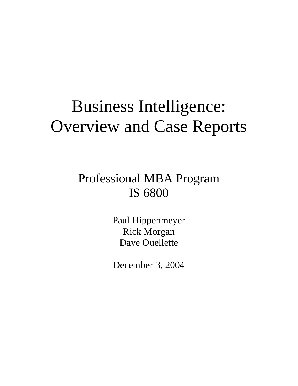# Business Intelligence: Overview and Case Reports

## Professional MBA Program IS 6800

Paul Hippenmeyer Rick Morgan Dave Ouellette

December 3, 2004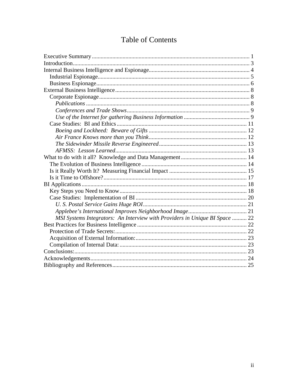## **Table of Contents**

| MSI Systems Integrators: An Interview with Providers in Unique BI Space  22 |  |  |
|-----------------------------------------------------------------------------|--|--|
|                                                                             |  |  |
|                                                                             |  |  |
|                                                                             |  |  |
|                                                                             |  |  |
|                                                                             |  |  |
|                                                                             |  |  |
|                                                                             |  |  |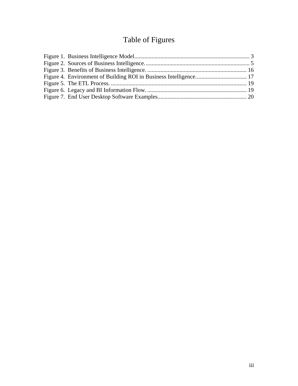## Table of Figures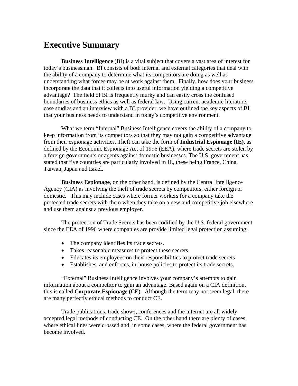## <span id="page-3-0"></span>**Executive Summary**

**Business Intelligence** (BI) is a vital subject that covers a vast area of interest for today's businessman. BI consists of both internal and external categories that deal with the ability of a company to determine what its competitors are doing as well as understanding what forces may be at work against them. Finally, how does your business incorporate the data that it collects into useful information yielding a competitive advantage? The field of BI is frequently murky and can easily cross the confused boundaries of business ethics as well as federal law. Using current academic literature, case studies and an interview with a BI provider, we have outlined the key aspects of BI that your business needs to understand in today's competitive environment.

What we term "Internal" Business Intelligence covers the ability of a company to keep information from its competitors so that they may not gain a competitive advantage from their espionage activities. Theft can take the form of **Industrial Espionage (IE)**, as defined by the Economic Espionage Act of 1996 (EEA), where trade secrets are stolen by a foreign governments or agents against domestic businesses. The U.S. government has stated that five countries are particularly involved in IE, these being France, China, Taiwan, Japan and Israel.

**Business Espionage**, on the other hand, is defined by the Central Intelligence Agency (CIA) as involving the theft of trade secrets by competitors, either foreign or domestic. This may include cases where former workers for a company take the protected trade secrets with them when they take on a new and competitive job elsewhere and use them against a previous employer.

The protection of Trade Secrets has been codified by the U.S. federal government since the EEA of 1996 where companies are provide limited legal protection assuming:

- The company identifies its trade secrets.
- Takes reasonable measures to protect these secrets.
- Educates its employees on their responsibilities to protect trade secrets
- Establishes, and enforces, in-house policies to protect its trade secrets.

"External" Business Intelligence involves your company's attempts to gain information about a competitor to gain an advantage. Based again on a CIA definition, this is called **Corporate Espionage** (CE). Although the term may not seem legal, there are many perfectly ethical methods to conduct CE.

Trade publications, trade shows, conferences and the internet are all widely accepted legal methods of conducting CE. On the other hand there are plenty of cases where ethical lines were crossed and, in some cases, where the federal government has become involved.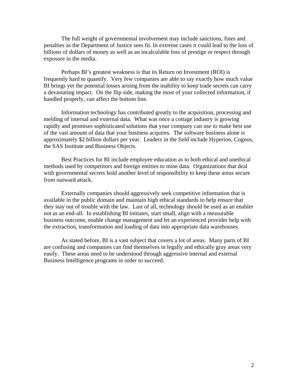The full weight of governmental involvement may include sanctions, fines and penalties as the Department of Justice sees fit. In extreme cases it could lead to the loss of billions of dollars of money as well as an incalculable loss of prestige or respect through exposure in the media.

Perhaps BI's greatest weakness is that its Return on Investment (ROI) is frequently hard to quantify. Very few companies are able to say exactly how much value BI brings yet the potential losses arising from the inability to keep trade secrets can carry a devastating impact. On the flip side, making the most of your collected information, if handled properly, can affect the bottom line.

Information technology has contributed greatly to the acquisition, processing and melding of internal and external data. What was once a cottage industry is growing rapidly and promises sophisticated solutions that your company can use to make best use of the vast amount of data that your business acquires. The software business alone is approximately \$2 billion dollars per year. Leaders in the field include Hyperion, Cognos, the SAS Institute and Business Objects.

Best Practices for BI include employee education as to both ethical and unethical methods used by competitors and foreign entities to mine data. Organizations that deal with governmental secrets hold another level of responsibility to keep these areas secure from outward attack.

Externally companies should aggressively seek competitive information that is available in the public domain and maintain high ethical standards to help ensure that they stay out of trouble with the law. Last of all, technology should be used as an enabler not as an end-all. In establishing BI initiates, start small, align with a measurable business outcome, enable change management and let an experienced provider help with the extraction, transformation and loading of data into appropriate data warehouses.

As stated before, BI is a vast subject that covers a lot of areas. Many parts of BI are confusing and companies can find themselves in legally and ethically gray areas very easily. These areas need to be understood through aggressive internal and external Business Intelligence programs in order to succeed.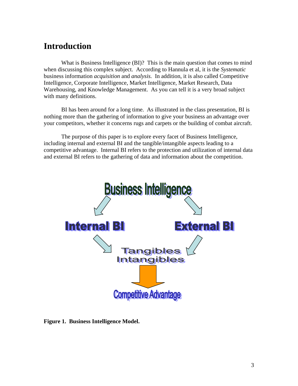## <span id="page-5-0"></span>**Introduction**

What is Business Intelligence (BI)? This is the main question that comes to mind when discussing this complex subject. According to Hannula et al, it is the *Systematic* business information *acquisition* and *analysis.* In addition, it is also called Competitive Intelligence, Corporate Intelligence, Market Intelligence, Market Research, Data Warehousing, and Knowledge Management. As you can tell it is a very broad subject with many definitions.

BI has been around for a long time. As illustrated in the class presentation, BI is nothing more than the gathering of information to give your business an advantage over your competitors, whether it concerns rugs and carpets or the building of combat aircraft.

The purpose of this paper is to explore every facet of Business Intelligence, including internal and external BI and the tangible/intangible aspects leading to a competitive advantage. Internal BI refers to the protection and utilization of internal data and external BI refers to the gathering of data and information about the competition.



**Figure 1. Business Intelligence Model.**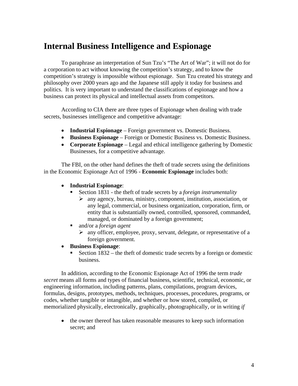## <span id="page-6-0"></span>**Internal Business Intelligence and Espionage**

To paraphrase an interpretation of Sun Tzu's "The Art of War"; it will not do for a corporation to act without knowing the competition's strategy, and to know the competition's strategy is impossible without espionage. Sun Tzu created his strategy and philosophy over 2000 years ago and the Japanese still apply it today for business and politics. It is very important to understand the classifications of espionage and how a business can protect its physical and intellectual assets from competitors.

According to CIA there are three types of Espionage when dealing with trade secrets, businesses intelligence and competitive advantage:

- **Industrial Espionage** Foreign government vs. Domestic Business.
- **Business Espionage** Foreign or Domestic Business vs. Domestic Business.
- **Corporate Espionage** Legal and ethical intelligence gathering by Domestic Businesses, for a competitive advantage.

The FBI, on the other hand defines the theft of trade secrets using the definitions in the Economic Espionage Act of 1996 - **Economic Espionage** includes both:

- **Industrial Espionage**:
	- Section 1831 the theft of trade secrets by a *foreign instrumentality*
		- ¾ any agency, bureau, ministry, component, institution, association, or any legal, commercial, or business organization, corporation, firm, or entity that is substantially owned, controlled, sponsored, commanded, managed, or dominated by a foreign government;
	- and/or a *foreign agent* 
		- $\triangleright$  any officer, employee, proxy, servant, delegate, or representative of a foreign government.
- **Business Espionage**:
	- Section 1832 the theft of domestic trade secrets by a foreign or domestic business.

In addition, according to the Economic Espionage Act of 1996 the term *trade secret* means all forms and types of financial business, scientific, technical, economic, or engineering information, including patterns, plans, compilations, program devices, formulas, designs, prototypes, methods, techniques, processes, procedures, programs, or codes, whether tangible or intangible, and whether or how stored, compiled, or memorialized physically, electronically, graphically, photographically, or in writing *if*

• the owner thereof has taken reasonable measures to keep such information secret; and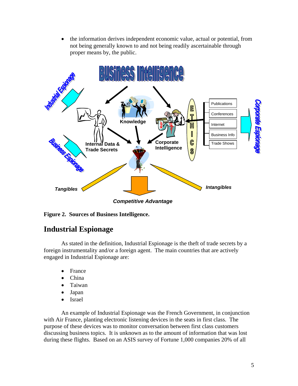• the information derives independent economic value, actual or potential, from not being generally known to and not being readily ascertainable through proper means by, the public.

<span id="page-7-0"></span>

**Figure 2. Sources of Business Intelligence.** 

## **Industrial Espionage**

As stated in the definition, Industrial Espionage is the theft of trade secrets by a foreign instrumentality and/or a foreign agent. The main countries that are actively engaged in Industrial Espionage are:

- France
- China
- Taiwan
- Japan
- Israel

An example of Industrial Espionage was the French Government, in conjunction with Air France, planting electronic listening devices in the seats in first class. The purpose of these devices was to monitor conversation between first class customers discussing business topics. It is unknown as to the amount of information that was lost during these flights. Based on an ASIS survey of Fortune 1,000 companies 20% of all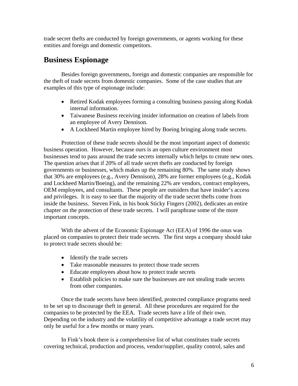<span id="page-8-0"></span>trade secret thefts are conducted by foreign governments, or agents working for these entities and foreign and domestic competitors.

## **Business Espionage**

Besides foreign governments, foreign and domestic companies are responsible for the theft of trade secrets from domestic companies. Some of the case studies that are examples of this type of espionage include:

- Retired Kodak employees forming a consulting business passing along Kodak internal information.
- Taiwanese Business receiving insider information on creation of labels from an employee of Avery Dennison.
- A Lockheed Martin employee hired by Boeing bringing along trade secrets.

Protection of these trade secrets should be the most important aspect of domestic business operation. However, because ours is an open culture environment most businesses tend to pass around the trade secrets internally which helps to create new ones. The question arises that if 20% of all trade secret thefts are conducted by foreign governments or businesses, which makes up the remaining 80%. The same study shows that 30% are employees (e.g., Avery Dennison), 28% are former employees (e.g., Kodak and Lockheed Martin/Boeing), and the remaining 22% are vendors, contract employees, OEM employees, and consultants. These people are outsiders that have insider's access and privileges. It is easy to see that the majority of the trade secret thefts come from inside the business. Steven Fink, in his book Sticky Fingers (2002), dedicates an entire chapter on the protection of these trade secrets. I will paraphrase some of the more important concepts.

With the advent of the Economic Espionage Act (EEA) of 1996 the onus was placed on companies to protect their trade secrets. The first steps a company should take to protect trade secrets should be:

- Identify the trade secrets
- Take reasonable measures to protect those trade secrets
- Educate employees about how to protect trade secrets
- Establish policies to make sure the businesses are not stealing trade secrets from other companies.

Once the trade secrets have been identified, protected compliance programs need to be set up to discourage theft in general. All these procedures are required for the companies to be protected by the EEA. Trade secrets have a life of their own. Depending on the industry and the volatility of competitive advantage a trade secret may only be useful for a few months or many years.

In Fink's book there is a comprehensive list of what constitutes trade secrets covering technical, production and process, vendor/supplier, quality control, sales and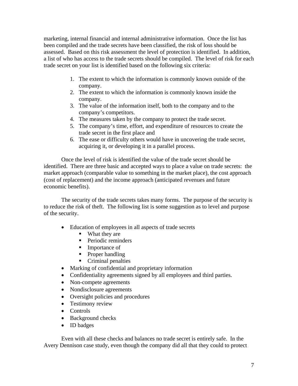marketing, internal financial and internal administrative information. Once the list has been compiled and the trade secrets have been classified, the risk of loss should be assessed. Based on this risk assessment the level of protection is identified. In addition, a list of who has access to the trade secrets should be compiled. The level of risk for each trade secret on your list is identified based on the following six criteria:

- 1. The extent to which the information is commonly known outside of the company.
- 2. The extent to which the information is commonly known inside the company.
- 3. The value of the information itself, both to the company and to the company's competitors.
- 4. The measures taken by the company to protect the trade secret.
- 5. The company's time, effort, and expenditure of resources to create the trade secret in the first place and
- 6. The ease or difficulty others would have in uncovering the trade secret, acquiring it, or developing it in a parallel process.

Once the level of risk is identified the value of the trade secret should be identified. There are three basic and accepted ways to place a value on trade secrets: the market approach (comparable value to something in the market place), the cost approach (cost of replacement) and the income approach (anticipated revenues and future economic benefits).

The security of the trade secrets takes many forms. The purpose of the security is to reduce the risk of theft. The following list is some suggestion as to level and purpose of the security.

- Education of employees in all aspects of trade secrets
	- What they are
	- Periodic reminders
	- **Importance of**
	- $\blacksquare$  Proper handling
	- Criminal penalties
- Marking of confidential and proprietary information
- Confidentiality agreements signed by all employees and third parties.
- Non-compete agreements
- Nondisclosure agreements
- Oversight policies and procedures
- Testimony review
- Controls
- Background checks
- ID badges

Even with all these checks and balances no trade secret is entirely safe. In the Avery Dennison case study, even though the company did all that they could to protect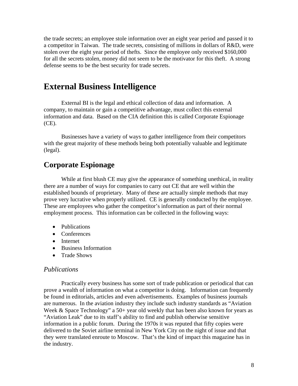<span id="page-10-0"></span>the trade secrets; an employee stole information over an eight year period and passed it to a competitor in Taiwan. The trade secrets, consisting of millions in dollars of R&D, were stolen over the eight year period of thefts. Since the employee only received \$160,000 for all the secrets stolen, money did not seem to be the motivator for this theft. A strong defense seems to be the best security for trade secrets.

## **External Business Intelligence**

External BI is the legal and ethical collection of data and information. A company, to maintain or gain a competitive advantage, must collect this external information and data. Based on the CIA definition this is called Corporate Espionage (CE).

Businesses have a variety of ways to gather intelligence from their competitors with the great majority of these methods being both potentially valuable and legitimate (legal).

#### **Corporate Espionage**

While at first blush CE may give the appearance of something unethical, in reality there are a number of ways for companies to carry out CE that are well within the established bounds of proprietary. Many of these are actually simple methods that may prove very lucrative when properly utilized. CE is generally conducted by the employee. These are employees who gather the competitor's information as part of their normal employment process. This information can be collected in the following ways:

- Publications
- Conferences
- Internet
- Business Information
- Trade Shows

#### *Publications*

Practically every business has some sort of trade publication or periodical that can prove a wealth of information on what a competitor is doing. Information can frequently be found in editorials, articles and even advertisements. Examples of business journals are numerous. In the aviation industry they include such industry standards as "Aviation Week & Space Technology" a 50+ year old weekly that has been also known for years as "Aviation Leak" due to its staff's ability to find and publish otherwise sensitive information in a public forum. During the 1970s it was reputed that fifty copies were delivered to the Soviet airline terminal in New York City on the night of issue and that they were translated enroute to Moscow. That's the kind of impact this magazine has in the industry.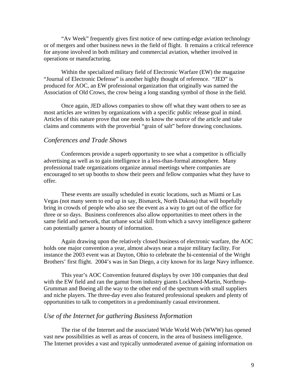<span id="page-11-0"></span>"Av Week" frequently gives first notice of new cutting-edge aviation technology or of mergers and other business news in the field of flight. It remains a critical reference for anyone involved in both military and commercial aviation, whether involved in operations or manufacturing.

Within the specialized military field of Electronic Warfare (EW) the magazine "Journal of Electronic Defense" is another highly thought of reference. "JED" is produced for AOC, an EW professional organization that originally was named the Association of Old Crows, the crow being a long standing symbol of those in the field.

Once again, JED allows companies to show off what they want others to see as most articles are written by organizations with a specific public release goal in mind. Articles of this nature prove that one needs to know the source of the article and take claims and comments with the proverbial "grain of salt" before drawing conclusions.

#### *Conferences and Trade Shows*

Conferences provide a superb opportunity to see what a competitor is officially advertising as well as to gain intelligence in a less-than-formal atmosphere. Many professional trade organizations organize annual meetings where companies are encouraged to set up booths to show their peers and fellow companies what they have to offer.

These events are usually scheduled in exotic locations, such as Miami or Las Vegas (not many seem to end up in say, Bismarck, North Dakota) that will hopefully bring in crowds of people who also see the event as a way to get out of the office for three or so days. Business conferences also allow opportunities to meet others in the same field and network, that urbane social skill from which a savvy intelligence gatherer can potentially garner a bounty of information.

Again drawing upon the relatively closed business of electronic warfare, the AOC holds one major convention a year, almost always near a major military facility. For instance the 2003 event was at Dayton, Ohio to celebrate the bi-centennial of the Wright Brothers' first flight. 2004's was in San Diego, a city known for its large Navy influence.

This year's AOC Convention featured displays by over 100 companies that deal with the EW field and ran the gamut from industry giants Lockheed-Martin, Northrop-Grumman and Boeing all the way to the other end of the spectrum with small suppliers and niche players. The three-day even also featured professional speakers and plenty of opportunities to talk to competitors in a predominantly casual environment.

#### *Use of the Internet for gathering Business Information*

The rise of the Internet and the associated Wide World Web (WWW) has opened vast new possibilities as well as areas of concern, in the area of business intelligence. The Internet provides a vast and typically unmoderated avenue of gaining information on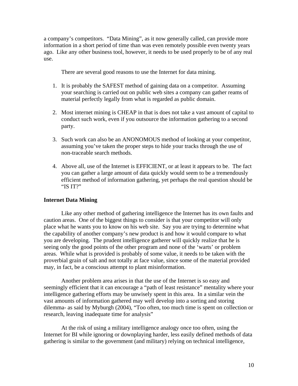a company's competitors. "Data Mining", as it now generally called, can provide more information in a short period of time than was even remotely possible even twenty years ago. Like any other business tool, however, it needs to be used properly to be of any real use.

There are several good reasons to use the Internet for data mining.

- 1. It is probably the SAFEST method of gaining data on a competitor. Assuming your searching is carried out on public web sites a company can gather reams of material perfectly legally from what is regarded as public domain.
- 2. Most internet mining is CHEAP in that is does not take a vast amount of capital to conduct such work, even if you outsource the information gathering to a second party.
- 3. Such work can also be an ANONOMOUS method of looking at your competitor, assuming you've taken the proper steps to hide your tracks through the use of non-traceable search methods.
- 4. Above all, use of the Internet is EFFICIENT, or at least it appears to be. The fact you can gather a large amount of data quickly would seem to be a tremendously efficient method of information gathering, yet perhaps the real question should be "IS IT?"

#### **Internet Data Mining**

Like any other method of gathering intelligence the Internet has its own faults and caution areas. One of the biggest things to consider is that your competitor will only place what he wants you to know on his web site. Say you are trying to determine what the capability of another company's new product is and how it would compare to what you are developing. The prudent intelligence gatherer will quickly realize that he is seeing only the good points of the other program and none of the 'warts' or problem areas. While what is provided is probably of some value, it needs to be taken with the proverbial grain of salt and not totally at face value, since some of the material provided may, in fact, be a conscious attempt to plant misinformation.

Another problem area arises in that the use of the Internet is so easy and seemingly efficient that it can encourage a "path of least resistance" mentality where your intelligence gathering efforts may be unwisely spent in this area. In a similar vein the vast amounts of information gathered may well develop into a sorting and storing dilemma- as said by Myburgh (2004), "Too often, too much time is spent on collection or research, leaving inadequate time for analysis"

At the risk of using a military intelligence analogy once too often, using the Internet for BI while ignoring or downplaying harder, less easily defined methods of data gathering is similar to the government (and military) relying on technical intelligence,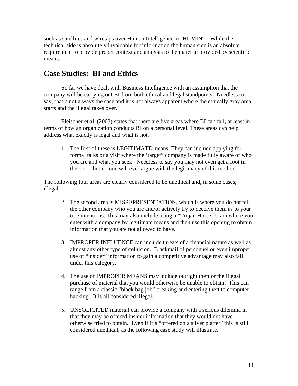<span id="page-13-0"></span>such as satellites and wiretaps over Human Intelligence, or HUMINT. While the technical side is absolutely invaluable for information the human side is an absolute requirement to provide proper context and analysis to the material provided by scientific means.

### **Case Studies: BI and Ethics**

So far we have dealt with Business Intelligence with an assumption that the company will be carrying out BI from both ethical and legal standpoints. Needless to say, that's not always the case and it is not always apparent where the ethically gray area starts and the illegal takes over.

Fleischer et al. (2003) states that there are five areas where BI can fall, at least in terms of how an organization conducts BI on a personal level. These areas can help address what exactly is legal and what is not.

1. The first of these is LEGITIMATE means. They can include applying for formal talks or a visit where the 'target" company is made fully aware of who you are and what you seek. Needless to say you may not even get a foot in the door- but no one will ever argue with the legitimacy of this method.

The following four areas are clearly considered to be unethical and, in some cases, illegal:

- 2. The second area is MISREPRESENTATION, which is where you do not tell the other company who you are and/or actively try to deceive them as to your true intentions. This may also include using a "Trojan Horse" scam where you enter with a company by legitimate means and then use this opening to obtain information that you are not allowed to have.
- 3. IMPROPER INFLUENCE can include threats of a financial nature as well as almost any other type of collusion. Blackmail of personnel or even improper use of "insider" information to gain a competitive advantage may also fall under this category.
- 4. The use of IMPROPER MEANS may include outright theft or the illegal purchase of material that you would otherwise be unable to obtain. This can range from a classic "black bag job" breaking and entering theft to computer hacking. It is all considered illegal.
- 5. UNSOLICITED material can provide a company with a serious dilemma in that they may be offered insider information that they would not have otherwise tried to obtain. Even if it's "offered on a silver platter" this is still considered unethical, as the following case study will illustrate.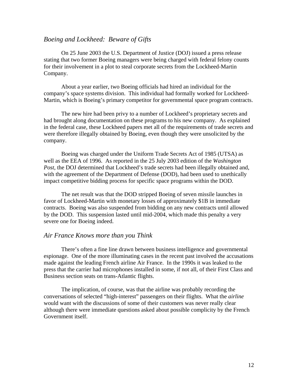#### <span id="page-14-0"></span>*Boeing and Lockheed: Beware of Gifts*

On 25 June 2003 the U.S. Department of Justice (DOJ) issued a press release stating that two former Boeing managers were being charged with federal felony counts for their involvement in a plot to steal corporate secrets from the Lockheed-Martin Company.

About a year earlier, two Boeing officials had hired an individual for the company's space systems division. This individual had formally worked for Lockheed-Martin, which is Boeing's primary competitor for governmental space program contracts.

The new hire had been privy to a number of Lockheed's proprietary secrets and had brought along documentation on these programs to his new company. As explained in the federal case, these Lockheed papers met all of the requirements of trade secrets and were therefore illegally obtained by Boeing, even though they were unsolicited by the company.

Boeing was charged under the Uniform Trade Secrets Act of 1985 (UTSA) as well as the EEA of 1996. As reported in the 25 July 2003 edition of the *Washington Post*, the DOJ determined that Lockheed's trade secrets had been illegally obtained and, with the agreement of the Department of Defense (DOD), had been used to unethically impact competitive bidding process for specific space programs within the DOD.

The net result was that the DOD stripped Boeing of seven missile launches in favor of Lockheed-Martin with monetary losses of approximately \$1B in immediate contracts. Boeing was also suspended from bidding on any new contracts until allowed by the DOD. This suspension lasted until mid-2004, which made this penalty a very severe one for Boeing indeed.

#### *Air France Knows more than you Think*

There's often a fine line drawn between business intelligence and governmental espionage. One of the more illuminating cases in the recent past involved the accusations made against the leading French airline Air France. In the 1990s it was leaked to the press that the carrier had microphones installed in some, if not all, of their First Class and Business section seats on trans-Atlantic flights.

The implication, of course, was that the airline was probably recording the conversations of selected "high-interest" passengers on their flights. What the *airline* would want with the discussions of some of their customers was never really clear although there were immediate questions asked about possible complicity by the French Government itself.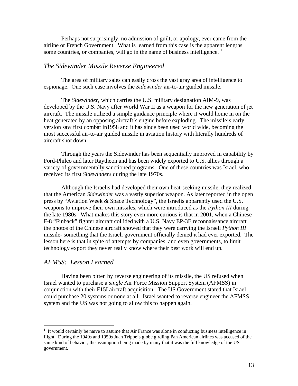<span id="page-15-0"></span>Perhaps not surprisingly, no admission of guilt, or apology, ever came from the airline or French Government. What is learned from this case is the apparent lengths some countries, or companies, will go in the name of business intelligence.  $1$ 

#### *The Sidewinder Missile Reverse Engineered*

The area of military sales can easily cross the vast gray area of intelligence to espionage. One such case involves the *Sidewinder* air-to-air guided missile.

The *Sidewinder*, which carries the U.S. military designation AIM-9, was developed by the U.S. Navy after World War II as a weapon for the new generation of jet aircraft. The missile utilized a simple guidance principle where it would home in on the heat generated by an opposing aircraft's engine before exploding. The missile's early version saw first combat in1958 and it has since been used world wide, becoming the most successful air-to-air guided missile in aviation history with literally hundreds of aircraft shot down.

Through the years the Sidewinder has been sequentially improved in capability by Ford-Philco and later Raytheon and has been widely exported to U.S. allies through a variety of governmentally sanctioned programs. One of these countries was Israel, who received its first *Sidewinders* during the late 1970s.

Although the Israelis had developed their own heat-seeking missile, they realized that the American *Sidewinder* was a vastly superior weapon. As later reported in the open press by "Aviation Week & Space Technology", the Israelis apparently used the U.S. weapons to improve their own missiles, which were introduced as the *Python III* during the late 1980s. What makes this story even more curious is that in 2001, when a Chinese F-8 "Finback" fighter aircraft collided with a U.S. Navy EP-3E reconnaissance aircraft the photos of the Chinese aircraft showed that they were carrying the Israeli *Python III* missile- something that the Israeli government officially denied it had ever exported. The lesson here is that in spite of attempts by companies, and even governments, to limit technology export they never really know where their best work will end up.

#### *AFMSS: Lesson Learned*

 $\overline{a}$ 

Having been bitten by reverse engineering of its missile, the US refused when Israel wanted to purchase a *single* Air Force Mission Support System (AFMSS) in conjunction with their F15I aircraft acquisition. The US Government stated that Israel could purchase 20 systems or none at all. Israel wanted to reverse engineer the AFMSS system and the US was not going to allow this to happen again.

<span id="page-15-1"></span> $1$  It would certainly be naïve to assume that Air France was alone in conducting business intelligence in flight. During the 1940s and 1950s Juan Trippe's globe girdling Pan American airlines was accused of the same kind of behavior, the assumption being made by many that it was the full knowledge of the US government.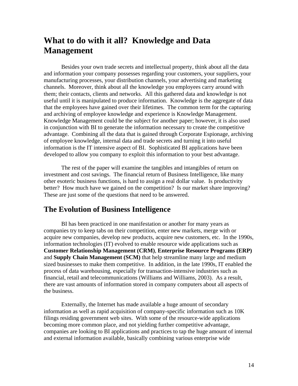## <span id="page-16-0"></span>**What to do with it all? Knowledge and Data Management**

Besides your own trade secrets and intellectual property, think about all the data and information your company possesses regarding your customers, your suppliers, your manufacturing processes, your distribution channels, your advertising and marketing channels. Moreover, think about all the knowledge you employees carry around with them; their contacts, clients and networks. All this gathered data and knowledge is not useful until it is manipulated to produce information. Knowledge is the aggregate of data that the employees have gained over their lifetimes. The common term for the capturing and archiving of employee knowledge and experience is Knowledge Management. Knowledge Management could be the subject for another paper; however, it is also used in conjunction with BI to generate the information necessary to create the competitive advantage. Combining all the data that is gained through Corporate Espionage, archiving of employee knowledge, internal data and trade secrets and turning it into useful information is the IT intensive aspect of BI. Sophisticated BI applications have been developed to allow you company to exploit this information to your best advantage.

The rest of the paper will examine the tangibles and intangibles of return on investment and cost savings. The financial return of Business Intelligence, like many other esoteric business functions, is hard to assign a real dollar value. Is productivity better? How much have we gained on the competition? Is our market share improving? These are just some of the questions that need to be answered.

#### **The Evolution of Business Intelligence**

BI has been practiced in one manifestation or another for many years as companies try to keep tabs on their competition, enter new markets, merge with or acquire new companies, develop new products, acquire new customers, etc. In the 1990s, information technologies (IT) evolved to enable resource wide applications such as **Customer Relationship Management (CRM)**, **Enterprise Resource Programs (ERP)** and **Supply Chain Management (SCM)** that help streamline many large and medium sized businesses to make them competitive. In addition, in the late 1990s, IT enabled the process of data warehousing, especially for transaction-intensive industries such as financial, retail and telecommunications (Williams and Williams, 2003). As a result, there are vast amounts of information stored in company computers about all aspects of the business.

Externally, the Internet has made available a huge amount of secondary information as well as rapid acquisition of company-specific information such as 10K filings residing government web sites. With some of the resource-wide applications becoming more common place, and not yielding further competitive advantage, companies are looking to BI applications and practices to tap the huge amount of internal and external information available, basically combining various enterprise wide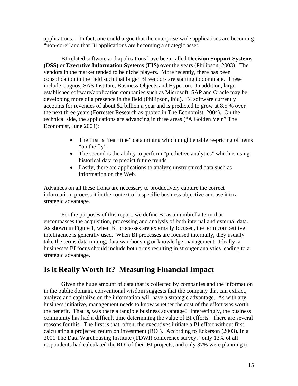<span id="page-17-0"></span>applications... In fact, one could argue that the enterprise-wide applications are becoming "non-core" and that BI applications are becoming a strategic asset.

BI-related software and applications have been called **Decision Support Systems (DSS)** or **Executive Information Systems (EIS)** over the years (Philipson, 2003). The vendors in the market tended to be niche players. More recently, there has been consolidation in the field such that larger BI vendors are starting to dominate. These include Cognos, SAS Institute, Business Objects and Hyperion. In addition, large established software/application companies such as Microsoft, SAP and Oracle may be developing more of a presence in the field (Philipson, ibid). BI software currently accounts for revenues of about \$2 billion a year and is predicted to grow at 8.5 % over the next three years (Forrester Research as quoted in The Economist, 2004). On the technical side, the applications are advancing in three areas ("A Golden Vein" The Economist, June 2004):

- The first is "real time" data mining which might enable re-pricing of items "on the fly".
- The second is the ability to perform "predictive analytics" which is using historical data to predict future trends.
- Lastly, there are applications to analyze unstructured data such as information on the Web.

Advances on all these fronts are necessary to productively capture the correct information, process it in the context of a specific business objective and use it to a strategic advantage.

For the purposes of this report, we define BI as an umbrella term that encompasses the acquisition, processing and analysis of both internal and external data. As shown in Figure 1, when BI processes are externally focused, the term competitive intelligence is generally used. When BI processes are focused internally, they usually take the terms data mining, data warehousing or knowledge management. Ideally, a businesses BI focus should include both arms resulting in stronger analytics leading to a strategic advantage.

#### **Is it Really Worth It? Measuring Financial Impact**

Given the huge amount of data that is collected by companies and the information in the public domain, conventional wisdom suggests that the company that can extract, analyze and capitalize on the information will have a strategic advantage. As with any business initiative, management needs to know whether the cost of the effort was worth the benefit. That is, was there a tangible business advantage? Interestingly, the business community has had a difficult time determining the value of BI efforts. There are several reasons for this. The first is that, often, the executives initiate a BI effort without first calculating a projected return on investment (ROI). According to Eckerson (2003), in a 2001 The Data Warehousing Institute (TDWI) conference survey, "only 13% of all respondents had calculated the ROI of their BI projects, and only 37% were planning to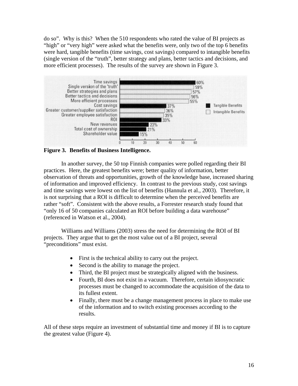<span id="page-18-0"></span>do so". Why is this? When the 510 respondents who rated the value of BI projects as "high" or "very high" were asked what the benefits were, only two of the top 6 benefits were hard, tangible benefits (time savings, cost savings) compared to intangible benefits (single version of the "truth", better strategy and plans, better tactics and decisions, and more efficient processes). The results of the survey are shown in Figure 3.



**Figure 3. Benefits of Business Intelligence.** 

In another survey, the 50 top Finnish companies were polled regarding their BI practices. Here, the greatest benefits were; better quality of information, better observation of threats and opportunities, growth of the knowledge base, increased sharing of information and improved efficiency. In contrast to the previous study, cost savings and time savings were lowest on the list of benefits (Hannula et al., 2003). Therefore, it is not surprising that a ROI is difficult to determine when the perceived benefits are rather "soft". Consistent with the above results, a Forrester research study found that "only 16 of 50 companies calculated an ROI before building a data warehouse" (referenced in Watson et al., 2004).

Williams and Williams (2003) stress the need for determining the ROI of BI projects. They argue that to get the most value out of a BI project, several "preconditions" must exist.

- First is the technical ability to carry out the project.
- Second is the ability to manage the project.
- Third, the BI project must be strategically aligned with the business.
- Fourth, BI does not exist in a vacuum. Therefore, certain idiosyncratic processes must be changed to accommodate the acquisition of the data to its fullest extent.
- Finally, there must be a change management process in place to make use of the information and to switch existing processes according to the results.

All of these steps require an investment of substantial time and money if BI is to capture the greatest value (Figure 4).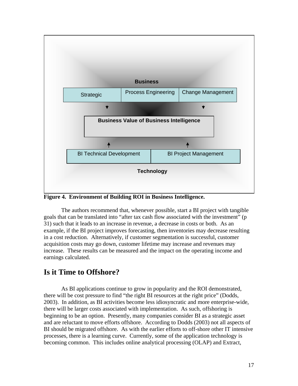<span id="page-19-0"></span>

**Figure 4. Environment of Building ROI in Business Intelligence.** 

The authors recommend that, whenever possible, start a BI project with tangible goals that can be translated into "after tax cash flow associated with the investment" (p 31) such that it leads to an increase in revenue, a decrease in costs or both. As an example, if the BI project improves forecasting, then inventories may decrease resulting in a cost reduction. Alternatively, if customer segmentation is successful, customer acquisition costs may go down, customer lifetime may increase and revenues may increase. These results can be measured and the impact on the operating income and earnings calculated.

#### **Is it Time to Offshore?**

As BI applications continue to grow in popularity and the ROI demonstrated, there will be cost pressure to find "the right BI resources at the right price" (Dodds, 2003). In addition, as BI activities become less idiosyncratic and more enterprise-wide, there will be larger costs associated with implementation. As such, offshoring is beginning to be an option. Presently, many companies consider BI as a strategic asset and are reluctant to move efforts offshore. According to Dodds (2003) not all aspects of BI should be migrated offshore. As with the earlier efforts to off-shore other IT intensive processes, there is a learning curve. Currently, some of the application technology is becoming common. This includes online analytical processing (OLAP) and Extract,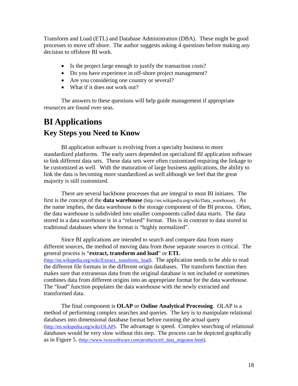<span id="page-20-0"></span>Transform and Load (ETL) and Database Administration (DBA). These might be good processes to move off shore. The author suggests asking 4 questions before making any decision to offshore BI work.

- Is the project large enough to justify the transaction costs?
- Do you have experience in off-shore project management?
- Are you considering one country or several?
- What if it does not work out?

The answers to these questions will help guide management if appropriate resources are found over seas.

## **BI Applications Key Steps you Need to Know**

BI application software is evolving from a specialty business to more standardized platforms. The early users depended on specialized BI application software to link different data sets. These data sets were often customized requiring the linkage to be customized as well. With the maturation of large business applications, the ability to link the data is becoming more standardized as well although we feel that the great majority is still customized.

There are several backbone processes that are integral to most BI initiates. The first is the concept of the **data warehouse** (http://en.wikipedia.org/wiki/Data\_warehouse). As the name implies, the data warehouse is the storage component of the BI process. Often, the data warehouse is subdivided into smaller components called data marts. The data stored in a data warehouse is in a "relaxed" format. This is in contrast to data stored in traditional databases where the format is "highly normalized".

Since BI applications are intended to search and compare data from many different sources, the method of moving data from those separate sources is critical. The general process is "**extract, transform and load**" or **ETL** [\(http://en.wikipedia.org/wiki/Extract,\\_transform,\\_load\)](http://en.wikipedia.org/wiki/Extract,_transform,_load). The application needs to be able to read the different file formats in the different origin databases. The transform function then makes sure that extraneous data from the original database is not included or sometimes combines data from different origins into an appropriate format for the data warehouse. The "load" function populates the data warehouse with the newly extracted and transformed data.

The final component is **OLAP** or **Online Analytical Processing**. OLAP is a method of performing complex searches and queries. The key is to manipulate relational databases into dimensional database format before running the actual query [\(http://en.wikipedia.org/wiki/OLAP\)](http://en.wikipedia.org/wiki/OLAP). The advantage is speed. Complex searching of relational databases would be very slow without this step. The process can be depicted graphically as in Figure 5. ([http://www.iwaysoftware.com/products/etl\\_data\\_migrator.html](http://www.iwaysoftware.com/products/etl_data_migrator.html)).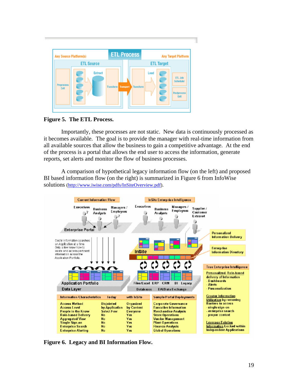<span id="page-21-0"></span>

**Figure 5. The ETL Process.** 

Importantly, these processes are not static. New data is continuously processed as it becomes available. The goal is to provide the manager with real-time information from all available sources that allow the business to gain a competitive advantage. At the end of the process is a portal that allows the end user to access the information, generate reports, set alerts and monitor the flow of business processes.

A comparison of hypothetical legacy information flow (on the left) and proposed BI based information flow (on the right) is summarized in Figure 6 from InfoWise solutions ([http://www.iwise.com/pdfs/InSiteOverview.pdf\)](http://www.iwise.com/pdfs/InSiteOverview.pdf).



**Figure 6. Legacy and BI Information Flow.**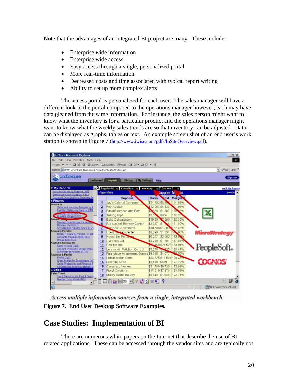<span id="page-22-0"></span>Note that the advantages of an integrated BI project are many. These include:

- Enterprise wide information
- Enterprise wide access
- Easy access through a single, personalized portal
- More real-time information
- Decreased costs and time associated with typical report writing
- Ability to set up more complex alerts

The access portal is personalized for each user. The sales manager will have a different look to the portal compared to the operations manager however; each may have data gleaned from the same information. For instance, the sales person might want to know what the inventory is for a particular product and the operations manager might want to know what the weekly sales trends are so that inventory can be adjusted. Data can be displayed as graphs, tables or text. An example screen shot of an end user's work station is shown in Figure 7 [\(http://www.iwise.com/pdfs/InSiteOverview.pdf](http://www.iwise.com/pdfs/InSiteOverview.pdf)).



Access multiple information sources from a single, integrated workbench.<br>**Figure 7. End User Desktop Software Examples.** 

## **Case Studies: Implementation of BI**

There are numerous white papers on the Internet that describe the use of BI related applications. These can be accessed through the vendor sites and are typically not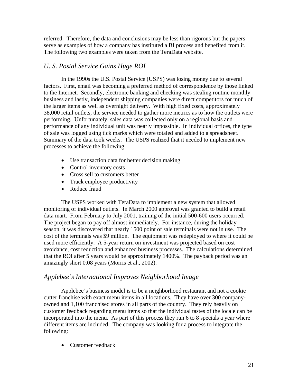<span id="page-23-0"></span>referred. Therefore, the data and conclusions may be less than rigorous but the papers serve as examples of how a company has instituted a BI process and benefited from it. The following two examples were taken from the TeraData website.

#### *U. S. Postal Service Gains Huge ROI*

In the 1990s the U.S. Postal Service (USPS) was losing money due to several factors. First, email was becoming a preferred method of correspondence by those linked to the Internet. Secondly, electronic banking and checking was stealing routine monthly business and lastly, independent shipping companies were direct competitors for much of the larger items as well as overnight delivery. With high fixed costs, approximately 38,000 retail outlets, the service needed to gather more metrics as to how the outlets were performing. Unfortunately, sales data was collected only on a regional basis and performance of any individual unit was nearly impossible. In individual offices, the type of sale was logged using tick marks which were totaled and added to a spreadsheet. Summary of the data took weeks. The USPS realized that it needed to implement new processes to achieve the following:

- Use transaction data for better decision making
- Control inventory costs
- Cross sell to customers better
- Track employee productivity
- Reduce fraud

The USPS worked with TeraData to implement a new system that allowed monitoring of individual outlets. In March 2000 approval was granted to build a retail data mart. From February to July 2001, training of the initial 500-600 users occurred. The project began to pay off almost immediately. For instance, during the holiday season, it was discovered that nearly 1500 point of sale terminals were not in use. The cost of the terminals was \$9 million. The equipment was redeployed to where it could be used more efficiently. A 5-year return on investment was projected based on cost avoidance, cost reduction and enhanced business processes. The calculations determined that the ROI after 5 years would be approximately 1400%. The payback period was an amazingly short 0.08 years (Morris et al., 2002).

#### *Applebee's International Improves Neighborhood Image*

Applebee's business model is to be a neighborhood restaurant and not a cookie cutter franchise with exact menu items in all locations. They have over 300 companyowned and 1,100 franchised stores in all parts of the country. They rely heavily on customer feedback regarding menu items so that the individual tastes of the locale can be incorporated into the menu. As part of this process they run 6 to 8 specials a year where different items are included. The company was looking for a process to integrate the following:

• Customer feedback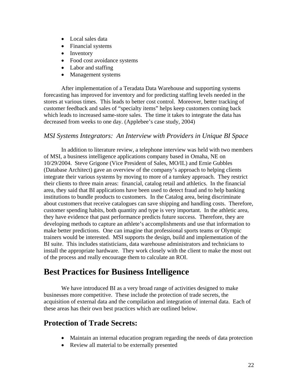- <span id="page-24-0"></span>• Local sales data
- Financial systems
- Inventory
- Food cost avoidance systems
- Labor and staffing
- Management systems

After implementation of a Teradata Data Warehouse and supporting systems forecasting has improved for inventory and for predicting staffing levels needed in the stores at various times. This leads to better cost control. Moreover, better tracking of customer feedback and sales of "specialty items" helps keep customers coming back which leads to increased same-store sales. The time it takes to integrate the data has decreased from weeks to one day. (Applebee's case study, 2004)

#### *MSI Systems Integrators: An Interview with Providers in Unique BI Space*

In addition to literature review, a telephone interview was held with two members of MSI, a business intelligence applications company based in Omaha, NE on 10/29/2004. Steve Grigone (Vice President of Sales, MO/IL) and Ernie Gubbles (Database Architect) gave an overview of the company's approach to helping clients integrate their various systems by moving to more of a turnkey approach. They restrict their clients to three main areas: financial, catalog retail and athletics. In the financial area, they said that BI applications have been used to detect fraud and to help banking institutions to bundle products to customers. In the Catalog area, being discriminate about customers that receive catalogues can save shipping and handling costs. Therefore, customer spending habits, both quantity and type is very important. In the athletic area, they have evidence that past performance predicts future success. Therefore, they are developing methods to capture an athlete's accomplishments and use that information to make better predictions. One can imagine that professional sports teams or Olympic trainers would be interested. MSI supports the design, build and implementation of the BI suite. This includes statisticians, data warehouse administrators and technicians to install the appropriate hardware. They work closely with the client to make the most out of the process and really encourage them to calculate an ROI.

## **Best Practices for Business Intelligence**

We have introduced BI as a very broad range of activities designed to make businesses more competitive. These include the protection of trade secrets, the acquisition of external data and the compilation and integration of internal data. Each of these areas has their own best practices which are outlined below.

#### **Protection of Trade Secrets:**

- Maintain an internal education program regarding the needs of data protection
- Review all material to be externally presented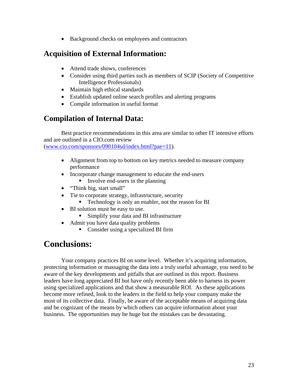• Background checks on employees and contractors

## <span id="page-25-0"></span>**Acquisition of External Information:**

- Attend trade shows, conferences
- Consider using third parties such as members of SCIP (Society of Competitive Intelligence Professionals)
- Maintain high ethical standards
- Establish updated online search profiles and alerting programs
- Compile information in useful format

## **Compilation of Internal Data:**

Best practice recommendations in this area are similar to other IT intensive efforts and are outlined in a CIO.com review

([www.cio.com/sponsors/090104sd/index.html?pae=11](http://www.cio.com/sponsors/090104sd/index.html?pae=11)).

- Alignment from top to bottom on key metrics needed to measure company performance
- Incorporate change management to educate the end-users
	- Involve end-users in the planning
- "Think big, start small"
- Tie to corporate strategy, infrastructure, security
	- **Technology is only an enabler, not the reason for BI**
- BI solution must be easy to use.
	- Simplify your data and BI infrastructure
- Admit you have data quality problems
	- Consider using a specialized BI firm

## **Conclusions:**

Your company practices BI on some level. Whether it's acquiring information, protecting information or massaging the data into a truly useful advantage, you need to be aware of the key developments and pitfalls that are outlined in this report. Business leaders have long appreciated BI but have only recently been able to harness its power using specialized applications and that show a measurable ROI. As these applications become more refined, look to the leaders in the field to help your company make the most of its collective data. Finally, be aware of the acceptable means of acquiring data and be cognizant of the means by which others can acquire information about your business. The opportunities may be huge but the mistakes can be devastating.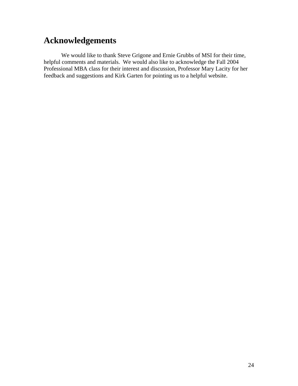## <span id="page-26-0"></span>**Acknowledgements**

We would like to thank Steve Grigone and Ernie Grubbs of MSI for their time, helpful comments and materials. We would also like to acknowledge the Fall 2004 Professional MBA class for their interest and discussion, Professor Mary Lacity for her feedback and suggestions and Kirk Garten for pointing us to a helpful website.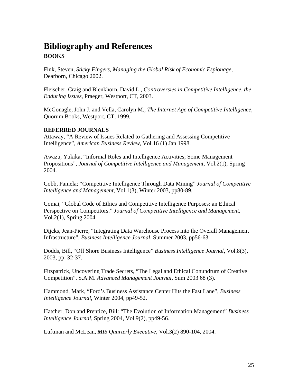## <span id="page-27-0"></span>**Bibliography and References BOOKS**

Fink, Steven, *Sticky Fingers, Managing the Global Risk of Economic Espionage*, Dearborn, Chicago 2002.

Fleischer, Craig and Blenkhorn, David L., *Controversies in Competitive Intelligence, the Enduring Issues*, Praeger, Westport, CT, 2003.

McGonagle, John J. and Vella, Carolyn M., *The Internet Age of Competitive Intelligence*, Quorum Books, Westport, CT, 1999.

#### **REFERRED JOURNALS**

Attaway, "A Review of Issues Related to Gathering and Assessing Competitive Intelligence", *American Business Review*, Vol.16 (1) Jan 1998.

Awazu, Yukika, "Informal Roles and Intelligence Activities; Some Management Propositions", *Journal of Competitive Intelligence and Management*, Vol.2(1), Spring 2004.

Cobb, Pamela; "Competitive Intelligence Through Data Mining" *Journal of Competitive Intelligence and Management*, Vol.1(3), Winter 2003, pp80-89.

Comai, "Global Code of Ethics and Competitive Intelligence Purposes: an Ethical Perspective on Competitors." *Journal of Competitive Intelligence and Management*, Vol.2(1), Spring 2004.

Dijcks, Jean-Pierre, "Integrating Data Warehouse Process into the Overall Management Infrastructure", *Business Intelligence Journal*, Summer 2003, pp56-63.

Dodds, Bill, "Off Shore Business Intelligence" *Business Intelligence Journal*, Vol.8(3), 2003, pp. 32-37.

Fitzpatrick, Uncovering Trade Secrets, "The Legal and Ethical Conundrum of Creative Competition". S.A.M. *Advanced Management Journal*, Sum 2003 68 (3).

Hammond, Mark, "Ford's Business Assistance Center Hits the Fast Lane", *Business Intelligence Journal*, Winter 2004, pp49-52.

Hatcher, Don and Prentice, Bill: "The Evolution of Information Management" *Business Intelligence Journal,* Spring 2004, Vol.9(2), pp49-56.

Luftman and McLean, *MIS Quarterly Executive*, Vol.3(2) 890-104, 2004.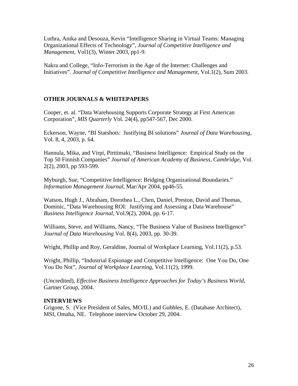Luthra, Anika and Desouza, Kevin "Intelligence Sharing in Virtual Teams: Managing Organizational Effects of Technology", *Journal of Competitive Intelligence and Management*, Vol1(3), Winter 2003, pp1-9.

Nakra and College, "Info-Terrorism in the Age of the Internet: Challenges and Initiatives". *Journal of Competitive Intelligence and Management*, Vol.1(2), Sum 2003.

#### **OTHER JOURNALS & WHITEPAPERS**

Cooper, et. al. "Data Warehousing Supports Corporate Strategy at First American Corporation", *MIS Quarterly* Vol. 24(4), pp547-567, Dec 2000.

Eckerson, Wayne, "BI Statshots: Justifying BI solutions" *Journal of Data Warehousing*, Vol. 8, 4, 2003, p. 64.

Hannula, Mika, and Virpi, Pirttimaki, "Business Intelligence: Empirical Study on the Top 50 Finnish Companies" *Journal of American Academy of Business, Cambridge*, Vol. 2(2), 2003, pp 593-599.

Myburgh, Sue, "Competitive Intelligence: Bridging Organizational Boundaries." *Information Management Journal*, Mar/Apr 2004, pp46-55.

Watson, Hugh J., Abraham, Dorothea L., Chen, Daniel, Preston, David and Thomas, Dominic, "Data Warehousing ROI: Justifying and Assessing a Data Warehouse" *Business Intelligence Journal*, Vol.9(2), 2004, pp. 6-17.

Williams, Steve, and Williams, Nancy, "The Business Value of Business Intelligence" *Journal of Data Warehousing* Vol. 8(4), 2003, pp. 30-39.

Wright, Phillip and Roy, Geraldine, Journal of Workplace Learning, Vol.11(2), p.53.

Wright, Phillip, "Industrial Espionage and Competitive Intelligence: One You Do, One You Do Not", *Journal of Workplace Learning*, Vol.11(2), 1999.

(Uncredited), *Effective Business Intelligence Approaches for Today's Business World*, Gartner Group, 2004.

#### **INTERVIEWS**

Grigone, S. (Vice President of Sales, MO/IL) and Gubbles, E. (Database Architect), MSI, Omaha, NE. Telephone interview October 29, 2004.